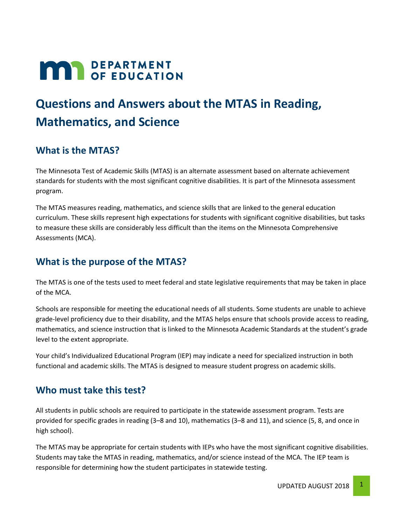# **MAR** DEPARTMENT

# **Questions and Answers about the MTAS in Reading, Mathematics, and Science**

## **What is the MTAS?**

The Minnesota Test of Academic Skills (MTAS) is an alternate assessment based on alternate achievement standards for students with the most significant cognitive disabilities. It is part of the Minnesota assessment program.

The MTAS measures reading, mathematics, and science skills that are linked to the general education curriculum. These skills represent high expectations for students with significant cognitive disabilities, but tasks to measure these skills are considerably less difficult than the items on the Minnesota Comprehensive Assessments (MCA).

## **What is the purpose of the MTAS?**

The MTAS is one of the tests used to meet federal and state legislative requirements that may be taken in place of the MCA.

Schools are responsible for meeting the educational needs of all students. Some students are unable to achieve grade-level proficiency due to their disability, and the MTAS helps ensure that schools provide access to reading, mathematics, and science instruction that is linked to the Minnesota Academic Standards at the student's grade level to the extent appropriate.

Your child's Individualized Educational Program (IEP) may indicate a need for specialized instruction in both functional and academic skills. The MTAS is designed to measure student progress on academic skills.

#### **Who must take this test?**

All students in public schools are required to participate in the statewide assessment program. Tests are provided for specific grades in reading (3–8 and 10), mathematics (3–8 and 11), and science (5, 8, and once in high school).

The MTAS may be appropriate for certain students with IEPs who have the most significant cognitive disabilities. Students may take the MTAS in reading, mathematics, and/or science instead of the MCA. The IEP team is responsible for determining how the student participates in statewide testing.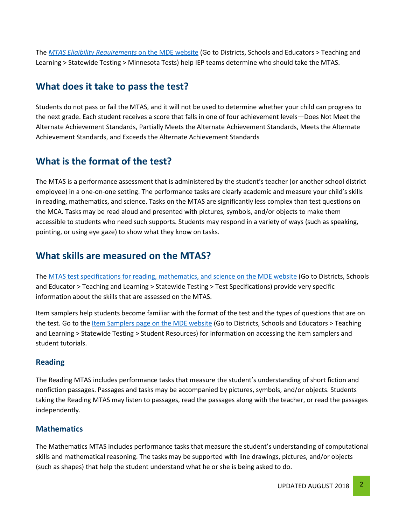The *[MTAS Eligibility Requirements](http://education.mn.gov/MDE/dse/test/mn/)* on the MDE website (Go to Districts, Schools and Educators > Teaching and Learning > Statewide Testing > Minnesota Tests) help IEP teams determine who should take the MTAS.

#### **What does it take to pass the test?**

Students do not pass or fail the MTAS, and it will not be used to determine whether your child can progress to the next grade. Each student receives a score that falls in one of four achievement levels—Does Not Meet the Alternate Achievement Standards, Partially Meets the Alternate Achievement Standards, Meets the Alternate Achievement Standards, and Exceeds the Alternate Achievement Standards

# **What is the format of the test?**

The MTAS is a performance assessment that is administered by the student's teacher (or another school district employee) in a one-on-one setting. The performance tasks are clearly academic and measure your child's skills in reading, mathematics, and science. Tasks on the MTAS are significantly less complex than test questions on the MCA. Tasks may be read aloud and presented with pictures, symbols, and/or objects to make them accessible to students who need such supports. Students may respond in a variety of ways (such as speaking, pointing, or using eye gaze) to show what they know on tasks.

#### **What skills are measured on the MTAS?**

The [MTAS test specifications for reading, mathematics, and science on the MDE website](http://education.mn.gov/MDE/dse/test/spec/) (Go to Districts, Schools and Educator > Teaching and Learning > Statewide Testing > Test Specifications) provide very specific information about the skills that are assessed on the MTAS.

Item samplers help students become familiar with the format of the test and the types of questions that are on the test. Go to th[e Item Samplers page on the MDE website](http://education.mn.gov/MDE/dse/test/item/) (Go to Districts, Schools and Educators > Teaching and Learning > Statewide Testing > Student Resources) for information on accessing the item samplers and student tutorials.

#### **Reading**

The Reading MTAS includes performance tasks that measure the student's understanding of short fiction and nonfiction passages. Passages and tasks may be accompanied by pictures, symbols, and/or objects. Students taking the Reading MTAS may listen to passages, read the passages along with the teacher, or read the passages independently.

#### **Mathematics**

The Mathematics MTAS includes performance tasks that measure the student's understanding of computational skills and mathematical reasoning. The tasks may be supported with line drawings, pictures, and/or objects (such as shapes) that help the student understand what he or she is being asked to do.